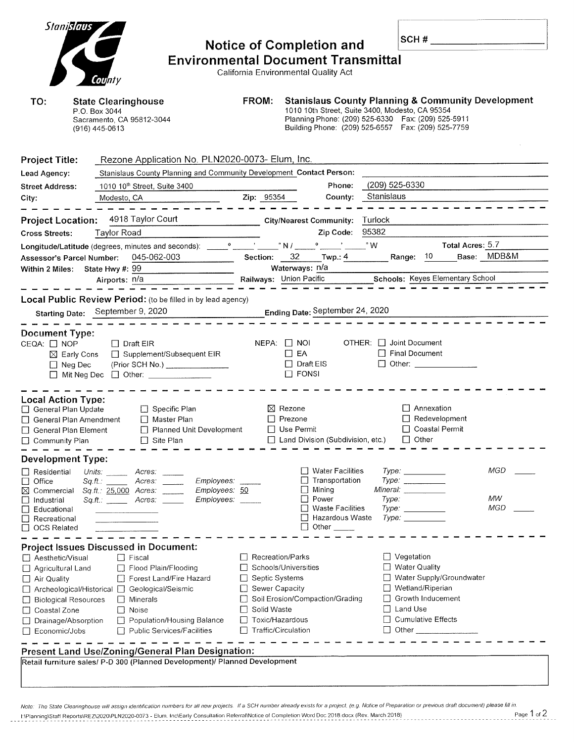| Stanislaus                                            |                                                                               |                       | <b>Notice of Completion and</b>                                                                            |                | SCH#                                                |                                                               |  |
|-------------------------------------------------------|-------------------------------------------------------------------------------|-----------------------|------------------------------------------------------------------------------------------------------------|----------------|-----------------------------------------------------|---------------------------------------------------------------|--|
|                                                       |                                                                               |                       | <b>Environmental Document Transmittal</b>                                                                  |                |                                                     |                                                               |  |
|                                                       |                                                                               |                       | California Environmental Quality Act                                                                       |                |                                                     |                                                               |  |
|                                                       | County                                                                        |                       |                                                                                                            |                |                                                     |                                                               |  |
|                                                       |                                                                               |                       |                                                                                                            |                |                                                     |                                                               |  |
| TO:                                                   | <b>State Clearinghouse</b>                                                    | FROM:                 |                                                                                                            |                |                                                     | <b>Stanislaus County Planning &amp; Community Development</b> |  |
|                                                       | P.O. Box 3044                                                                 |                       | 1010 10th Street, Suite 3400, Modesto, CA 95354                                                            |                |                                                     |                                                               |  |
|                                                       | Sacramento, CA 95812-3044<br>(916) 445-0613                                   |                       | Planning Phone: (209) 525-6330  Fax: (209) 525-5911<br>Building Phone: (209) 525-6557  Fax: (209) 525-7759 |                |                                                     |                                                               |  |
|                                                       |                                                                               |                       |                                                                                                            |                |                                                     |                                                               |  |
|                                                       |                                                                               |                       |                                                                                                            |                |                                                     |                                                               |  |
| <b>Project Title:</b>                                 | Rezone Application No. PLN2020-0073- Elum, Inc.                               |                       |                                                                                                            |                |                                                     |                                                               |  |
| Lead Agency:                                          | Stanislaus County Planning and Community Development Contact Person:          |                       |                                                                                                            |                |                                                     |                                                               |  |
|                                                       |                                                                               |                       |                                                                                                            |                |                                                     |                                                               |  |
| <b>Street Address:</b>                                | 1010 10th Street, Suite 3400                                                  |                       | Phone:                                                                                                     | (209) 525-6330 |                                                     |                                                               |  |
| City:                                                 | Modesto, CA                                                                   |                       | Zip: 95354<br>County:                                                                                      | Stanislaus     |                                                     |                                                               |  |
|                                                       |                                                                               |                       |                                                                                                            |                |                                                     |                                                               |  |
| <b>Project Location:</b>                              | 4918 Taylor Court                                                             |                       | <b>City/Nearest Community:</b>                                                                             | Turlock        |                                                     |                                                               |  |
| <b>Cross Streets:</b>                                 | Taylor Road                                                                   |                       | Zip Code:                                                                                                  | 95382          |                                                     |                                                               |  |
|                                                       | Longitude/Latitude (degrees, minutes and seconds): ____                       |                       |                                                                                                            |                |                                                     | Total Acres: 5.7                                              |  |
| Assessor's Parcel Number:                             | 045-062-003                                                                   |                       | Section: $32$ Twp.: $4$                                                                                    |                | Range: 10                                           | Base: MDB&M                                                   |  |
|                                                       | Within 2 Miles: State Hwy #: 99                                               |                       | Waterways: n/a                                                                                             |                |                                                     |                                                               |  |
|                                                       | Airports: n/a                                                                 |                       | Railways: Union Pacific <b>Schools: Keyes Elementary School</b>                                            |                |                                                     |                                                               |  |
|                                                       |                                                                               |                       |                                                                                                            |                |                                                     |                                                               |  |
|                                                       | Local Public Review Period: (to be filled in by lead agency)                  |                       |                                                                                                            |                |                                                     |                                                               |  |
|                                                       | Starting Date: September 9, 2020                                              |                       | Ending Date: September 24, 2020                                                                            |                |                                                     |                                                               |  |
|                                                       |                                                                               |                       |                                                                                                            |                |                                                     |                                                               |  |
| <b>Document Type:</b>                                 |                                                                               |                       |                                                                                                            |                |                                                     |                                                               |  |
| CEQA: <b>NOP</b>                                      | $\Box$ Draft EIR                                                              |                       | NEPA: 1 NOI                                                                                                |                | OTHER: Joint Document                               |                                                               |  |
|                                                       | Supplement/Subsequent EIR<br>$\boxtimes$ Early Cons                           |                       | $\Box$ EA                                                                                                  |                | Final Document                                      |                                                               |  |
| $\Box$ Neg Dec                                        | (Prior SCH No.) ________________                                              |                       | $\Box$ Draft EIS                                                                                           |                | $\Box$ Other:                                       |                                                               |  |
|                                                       | $\Box$ Mit Neg Dec $\Box$ Other: _______________                              |                       | $\Box$ FONSI                                                                                               |                |                                                     |                                                               |  |
|                                                       |                                                                               |                       |                                                                                                            |                |                                                     |                                                               |  |
| <b>Local Action Type:</b>                             |                                                                               |                       |                                                                                                            |                |                                                     |                                                               |  |
| General Plan Update                                   | $\Box$ Specific Plan                                                          |                       | $\boxtimes$ Rezone                                                                                         |                | $\Box$ Annexation                                   |                                                               |  |
|                                                       | General Plan Amendment<br>$\Box$ Master Plan                                  |                       | $\Box$ Prezone                                                                                             |                | Redevelopment                                       |                                                               |  |
| □ General Plan Element                                | Planned Unit Development                                                      |                       | $\Box$ Use Permit                                                                                          |                | □ Coastal Permit                                    |                                                               |  |
| □ Community Plan                                      | $\Box$ Site Plan                                                              |                       | Land Division (Subdivision, etc.)                                                                          |                | $\Box$ Other                                        |                                                               |  |
|                                                       |                                                                               |                       |                                                                                                            |                |                                                     |                                                               |  |
| <b>Development Type:</b>                              |                                                                               |                       |                                                                                                            |                |                                                     |                                                               |  |
| Residential                                           | Acres:<br>Units: ______                                                       |                       | □ Water Facilities                                                                                         |                |                                                     | MGD                                                           |  |
| Office                                                | Employees:<br>Sq.fit.<br>Acres:                                               |                       | $\Box$ Transportation                                                                                      |                | $Type \_$                                           |                                                               |  |
| Commercial<br>⊠<br>Industrial                         | Sq.ft.: 25,000 Acres:<br>Employees: 50<br>$Sqft:$ Acres:<br><i>Employees:</i> |                       | $\Box$ Mining<br>Power<br>$\perp$                                                                          | Type:          | Mineral: ___________                                | MW                                                            |  |
| Educational                                           |                                                                               |                       | <b>Waste Facilities</b><br>$\perp$                                                                         |                | $Type \_$                                           | MGD                                                           |  |
| $\Box$ Recreational                                   |                                                                               |                       | □ Hazardous Waste                                                                                          |                |                                                     |                                                               |  |
| $\Box$ OCS Related                                    |                                                                               |                       | $\Box$ Other $\_\_\_\_\_\_\_\$                                                                             |                |                                                     |                                                               |  |
|                                                       |                                                                               |                       |                                                                                                            |                |                                                     |                                                               |  |
|                                                       | <b>Project Issues Discussed in Document:</b>                                  |                       |                                                                                                            |                |                                                     |                                                               |  |
| Aesthetic/Visual                                      | $\Box$ Fiscal                                                                 | Recreation/Parks      |                                                                                                            |                | $\Box$ Vegetation                                   |                                                               |  |
| Agricultural Land                                     | Flood Plain/Flooding                                                          |                       | Schools/Universities                                                                                       |                | <b>Water Quality</b>                                |                                                               |  |
| $\Box$ Air Quality                                    | Forest Land/Fire Hazard                                                       | $\Box$ Septic Systems |                                                                                                            |                | Water Supply/Groundwater                            |                                                               |  |
| □ Archeological/Historical □ Geological/Seismic       |                                                                               | Sewer Capacity        |                                                                                                            |                | $\Box$ Wetland/Riperian<br><b>Growth Inducement</b> |                                                               |  |
|                                                       | Minerals<br><b>Biological Resources</b><br>$\vdash$                           |                       | Soil Erosion/Compaction/Grading                                                                            |                | Land Use                                            |                                                               |  |
| $\Box$ Noise<br>□ Coastal Zone<br>Drainage/Absorption |                                                                               |                       | Solid Waste<br>$\perp$<br>Toxic/Hazardous                                                                  |                | $\Box$ Cumulative Effects                           |                                                               |  |
|                                                       | Population/Housing Balance<br>□ Public Services/Facilities                    |                       | Traffic/Circulation                                                                                        |                | $\Box$ Other $\Box$                                 |                                                               |  |
| Economic/Jobs                                         |                                                                               |                       |                                                                                                            |                |                                                     |                                                               |  |
|                                                       | Present Land Use/Zoning/General Plan Designation:                             |                       |                                                                                                            |                |                                                     |                                                               |  |
|                                                       | Retail furniture sales/ P-D 300 (Planned Development)/ Planned Development    |                       |                                                                                                            |                |                                                     |                                                               |  |
|                                                       |                                                                               |                       |                                                                                                            |                |                                                     |                                                               |  |
|                                                       |                                                                               |                       |                                                                                                            |                |                                                     |                                                               |  |

Note: The State Clearinghouse will assign identification numbers for all new projects. If a SCH number already exists for a project, (e.g. Notice of Preparation or previous draft document) please fill in. 1 Planning\Staff Reports\REZ\2020\PLN2020-0073 - Elum. Inc\Early Consultation ReferralNotice of Completion Word Doc 2018.docx (Rev. March 2018)